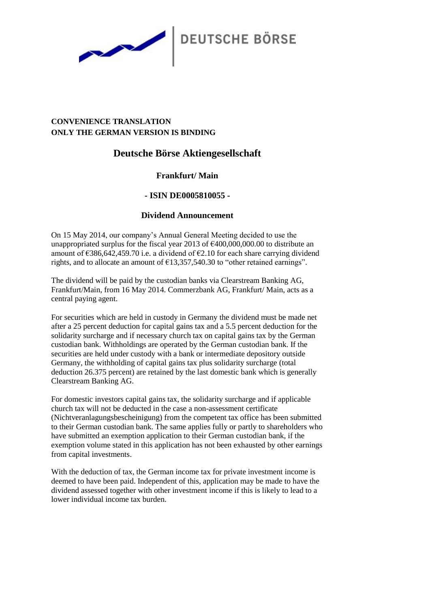

## **CONVENIENCE TRANSLATION ONLY THE GERMAN VERSION IS BINDING**

# **Deutsche Börse Aktiengesellschaft**

## **Frankfurt/ Main**

## **- ISIN DE0005810055 -**

#### **Dividend Announcement**

On 15 May 2014, our company's Annual General Meeting decided to use the unappropriated surplus for the fiscal year 2013 of  $\epsilon$ 400,000,000.00 to distribute an amount of  $\epsilon$ 386,642,459,70 i.e. a dividend of  $\epsilon$ 2,10 for each share carrying dividend rights, and to allocate an amount of  $\epsilon$ 13,357,540.30 to "other retained earnings".

The dividend will be paid by the custodian banks via Clearstream Banking AG, Frankfurt/Main, from 16 May 2014. Commerzbank AG, Frankfurt/ Main, acts as a central paying agent.

For securities which are held in custody in Germany the dividend must be made net after a 25 percent deduction for capital gains tax and a 5.5 percent deduction for the solidarity surcharge and if necessary church tax on capital gains tax by the German custodian bank. Withholdings are operated by the German custodian bank. If the securities are held under custody with a bank or intermediate depository outside Germany, the withholding of capital gains tax plus solidarity surcharge (total deduction 26.375 percent) are retained by the last domestic bank which is generally Clearstream Banking AG.

For domestic investors capital gains tax, the solidarity surcharge and if applicable church tax will not be deducted in the case a non-assessment certificate (Nichtveranlagungsbescheinigung) from the competent tax office has been submitted to their German custodian bank. The same applies fully or partly to shareholders who have submitted an exemption application to their German custodian bank, if the exemption volume stated in this application has not been exhausted by other earnings from capital investments.

With the deduction of tax, the German income tax for private investment income is deemed to have been paid. Independent of this, application may be made to have the dividend assessed together with other investment income if this is likely to lead to a lower individual income tax burden.